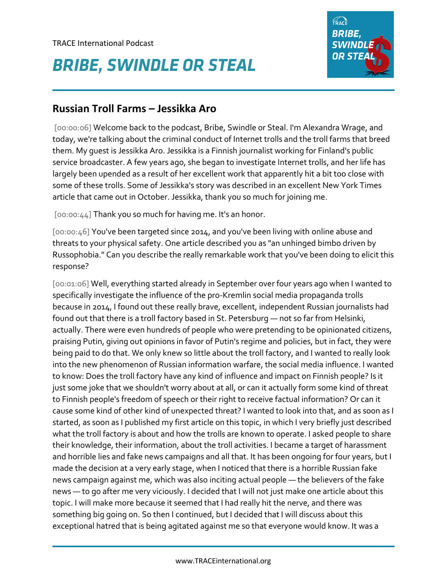## **BRIBE, SWINDLE OR STEAL**



## **Russian Troll Farms – Jessikka Aro**

[00:00:06] Welcome back to the podcast, Bribe, Swindle or Steal. I'm Alexandra Wrage, and today, we're talking about the criminal conduct of Internet trolls and the troll farms that breed them. My guest is Jessikka Aro. Jessikka is a Finnish journalist working for Finland's public service broadcaster. A few years ago, she began to investigate Internet trolls, and her life has largely been upended as a result of her excellent work that apparently hit a bit too close with some of these trolls. Some of Jessikka's story was described in an excellent New York Times article that came out in October. Jessikka, thank you so much for joining me.

[00:00:44] Thank you so much for having me. It's an honor.

[00:00:46] You've been targeted since 2014, and you've been living with online abuse and threats to your physical safety. One article described you as "an unhinged bimbo driven by Russophobia." Can you describe the really remarkable work that you've been doing to elicit this response?

[00:01:06] Well, everything started already in September over four years ago when I wanted to specifically investigate the influence of the pro-Kremlin social media propaganda trolls because in 2014, I found out these really brave, excellent, independent Russian journalists had found out that there is a troll factory based in St. Petersburg — not so far from Helsinki, actually. There were even hundreds of people who were pretending to be opinionated citizens, praising Putin, giving out opinions in favor of Putin's regime and policies, but in fact, they were being paid to do that. We only knew so little about the troll factory, and I wanted to really look into the new phenomenon of Russian information warfare, the social media influence. I wanted to know: Does the troll factory have any kind of influence and impact on Finnish people? Is it just some joke that we shouldn't worry about at all, or can it actually form some kind of threat to Finnish people's freedom of speech or their right to receive factual information? Or can it cause some kind of other kind of unexpected threat? I wanted to look into that, and as soon as I started, as soon as I published my first article on this topic, in which I very briefly just described what the troll factory is about and how the trolls are known to operate. I asked people to share their knowledge, their information, about the troll activities. I became a target of harassment and horrible lies and fake news campaigns and all that. It has been ongoing for four years, but I made the decision at a very early stage, when I noticed that there is a horrible Russian fake news campaign against me, which was also inciting actual people — the believers of the fake news — to go after me very viciously. I decided that I will not just make one article about this topic. I will make more because it seemed that I had really hit the nerve, and there was something big going on. So then I continued, but I decided that I will discuss about this exceptional hatred that is being agitated against me so that everyone would know. It was a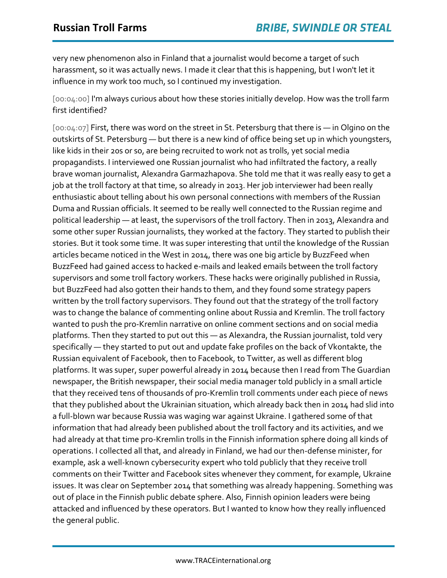very new phenomenon also in Finland that a journalist would become a target of such harassment, so it was actually news. I made it clear that this is happening, but I won't let it influence in my work too much, so I continued my investigation.

[00:04:00] I'm always curious about how these stories initially develop. How was the troll farm first identified?

[00:04:07] First, there was word on the street in St. Petersburg that there is — in Olgino on the outskirts of St. Petersburg — but there is a new kind of office being set up in which youngsters, like kids in their 20s or so, are being recruited to work not as trolls, yet social media propagandists. I interviewed one Russian journalist who had infiltrated the factory, a really brave woman journalist, Alexandra Garmazhapova. She told me that it was really easy to get a job at the troll factory at that time, so already in 2013. Her job interviewer had been really enthusiastic about telling about his own personal connections with members of the Russian Duma and Russian officials. It seemed to be really well connected to the Russian regime and political leadership — at least, the supervisors of the troll factory. Then in 2013, Alexandra and some other super Russian journalists, they worked at the factory. They started to publish their stories. But it took some time. It was super interesting that until the knowledge of the Russian articles became noticed in the West in 2014, there was one big article by BuzzFeed when BuzzFeed had gained access to hacked e-mails and leaked emails between the troll factory supervisors and some troll factory workers. These hacks were originally published in Russia, but BuzzFeed had also gotten their hands to them, and they found some strategy papers written by the troll factory supervisors. They found out that the strategy of the troll factory was to change the balance of commenting online about Russia and Kremlin. The troll factory wanted to push the pro-Kremlin narrative on online comment sections and on social media platforms. Then they started to put out this — as Alexandra, the Russian journalist, told very specifically — they started to put out and update fake profiles on the back of Vkontakte, the Russian equivalent of Facebook, then to Facebook, to Twitter, as well as different blog platforms. It was super, super powerful already in 2014 because then I read from The Guardian newspaper, the British newspaper, their social media manager told publicly in a small article that they received tens of thousands of pro-Kremlin troll comments under each piece of news that they published about the Ukrainian situation, which already back then in 2014 had slid into a full-blown war because Russia was waging war against Ukraine. I gathered some of that information that had already been published about the troll factory and its activities, and we had already at that time pro-Kremlin trolls in the Finnish information sphere doing all kinds of operations. I collected all that, and already in Finland, we had our then-defense minister, for example, ask a well-known cybersecurity expert who told publicly that they receive troll comments on their Twitter and Facebook sites whenever they comment, for example, Ukraine issues. It was clear on September 2014 that something was already happening. Something was out of place in the Finnish public debate sphere. Also, Finnish opinion leaders were being attacked and influenced by these operators. But I wanted to know how they really influenced the general public.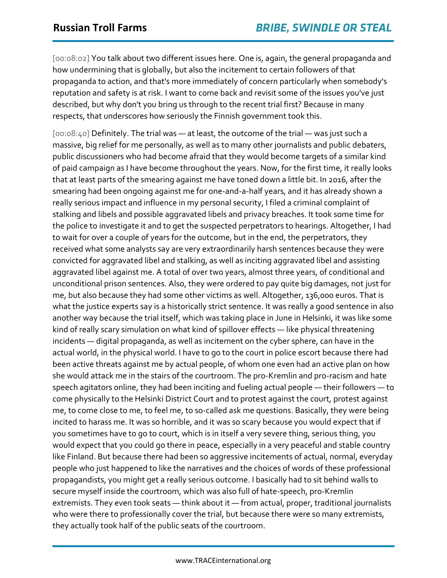[00:08:02] You talk about two different issues here. One is, again, the general propaganda and how undermining that is globally, but also the incitement to certain followers of that propaganda to action, and that's more immediately of concern particularly when somebody's reputation and safety is at risk. I want to come back and revisit some of the issues you've just described, but why don't you bring us through to the recent trial first? Because in many respects, that underscores how seriously the Finnish government took this.

[00:08:40] Definitely. The trial was — at least, the outcome of the trial — was just such a massive, big relief for me personally, as well as to many other journalists and public debaters, public discussioners who had become afraid that they would become targets of a similar kind of paid campaign as I have become throughout the years. Now, for the first time, it really looks that at least parts of the smearing against me have toned down a little bit. In 2016, after the smearing had been ongoing against me for one-and-a-half years, and it has already shown a really serious impact and influence in my personal security, I filed a criminal complaint of stalking and libels and possible aggravated libels and privacy breaches. It took some time for the police to investigate it and to get the suspected perpetrators to hearings. Altogether, I had to wait for over a couple of years for the outcome, but in the end, the perpetrators, they received what some analysts say are very extraordinarily harsh sentences because they were convicted for aggravated libel and stalking, as well as inciting aggravated libel and assisting aggravated libel against me. A total of over two years, almost three years, of conditional and unconditional prison sentences. Also, they were ordered to pay quite big damages, not just for me, but also because they had some other victims as well. Altogether, 136,000 euros. That is what the justice experts say is a historically strict sentence. It was really a good sentence in also another way because the trial itself, which was taking place in June in Helsinki, it was like some kind of really scary simulation on what kind of spillover effects — like physical threatening incidents — digital propaganda, as well as incitement on the cyber sphere, can have in the actual world, in the physical world. I have to go to the court in police escort because there had been active threats against me by actual people, of whom one even had an active plan on how she would attack me in the stairs of the courtroom. The pro-Kremlin and pro-racism and hate speech agitators online, they had been inciting and fueling actual people — their followers — to come physically to the Helsinki District Court and to protest against the court, protest against me, to come close to me, to feel me, to so-called ask me questions. Basically, they were being incited to harass me. It was so horrible, and it was so scary because you would expect that if you sometimes have to go to court, which is in itself a very severe thing, serious thing, you would expect that you could go there in peace, especially in a very peaceful and stable country like Finland. But because there had been so aggressive incitements of actual, normal, everyday people who just happened to like the narratives and the choices of words of these professional propagandists, you might get a really serious outcome. I basically had to sit behind walls to secure myself inside the courtroom, which was also full of hate-speech, pro-Kremlin extremists. They even took seats — think about it — from actual, proper, traditional journalists who were there to professionally cover the trial, but because there were so many extremists, they actually took half of the public seats of the courtroom.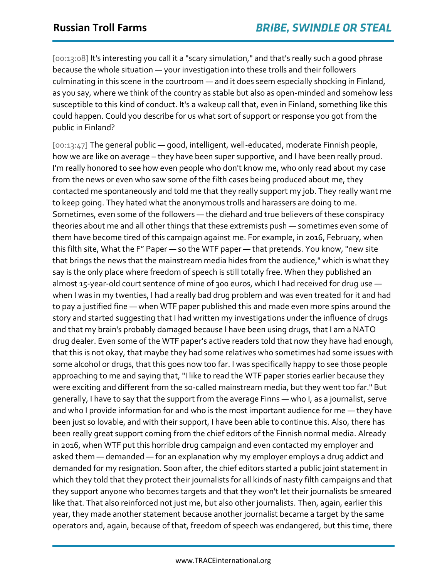[00:13:08] It's interesting you call it a "scary simulation," and that's really such a good phrase because the whole situation — your investigation into these trolls and their followers culminating in this scene in the courtroom — and it does seem especially shocking in Finland, as you say, where we think of the country as stable but also as open-minded and somehow less susceptible to this kind of conduct. It's a wakeup call that, even in Finland, something like this could happen. Could you describe for us what sort of support or response you got from the public in Finland?

[00:13:47] The general public — good, intelligent, well-educated, moderate Finnish people, how we are like on average – they have been super supportive, and I have been really proud. I'm really honored to see how even people who don't know me, who only read about my case from the news or even who saw some of the filth cases being produced about me, they contacted me spontaneously and told me that they really support my job. They really want me to keep going. They hated what the anonymous trolls and harassers are doing to me. Sometimes, even some of the followers — the diehard and true believers of these conspiracy theories about me and all other things that these extremists push — sometimes even some of them have become tired of this campaign against me. For example, in 2016, February, when this filth site, What the F" Paper — so the WTF paper — that pretends. You know, "new site that brings the news that the mainstream media hides from the audience," which is what they say is the only place where freedom of speech is still totally free. When they published an almost 15-year-old court sentence of mine of 300 euros, which I had received for drug use when I was in my twenties, I had a really bad drug problem and was even treated for it and had to pay a justified fine — when WTF paper published this and made even more spins around the story and started suggesting that I had written my investigations under the influence of drugs and that my brain's probably damaged because I have been using drugs, that I am a NATO drug dealer. Even some of the WTF paper's active readers told that now they have had enough, that this is not okay, that maybe they had some relatives who sometimes had some issues with some alcohol or drugs, that this goes now too far. I was specifically happy to see those people approaching to me and saying that, "I like to read the WTF paper stories earlier because they were exciting and different from the so-called mainstream media, but they went too far." But generally, I have to say that the support from the average Finns — who I, as a journalist, serve and who I provide information for and who is the most important audience for me — they have been just so lovable, and with their support, I have been able to continue this. Also, there has been really great support coming from the chief editors of the Finnish normal media. Already in 2016, when WTF put this horrible drug campaign and even contacted my employer and asked them — demanded — for an explanation why my employer employs a drug addict and demanded for my resignation. Soon after, the chief editors started a public joint statement in which they told that they protect their journalists for all kinds of nasty filth campaigns and that they support anyone who becomes targets and that they won't let their journalists be smeared like that. That also reinforced not just me, but also other journalists. Then, again, earlier this year, they made another statement because another journalist became a target by the same operators and, again, because of that, freedom of speech was endangered, but this time, there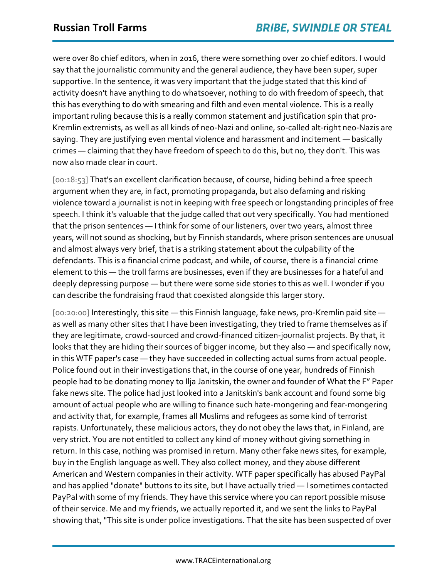were over 80 chief editors, when in 2016, there were something over 20 chief editors. I would say that the journalistic community and the general audience, they have been super, super supportive. In the sentence, it was very important that the judge stated that this kind of activity doesn't have anything to do whatsoever, nothing to do with freedom of speech, that this has everything to do with smearing and filth and even mental violence. This is a really important ruling because this is a really common statement and justification spin that pro-Kremlin extremists, as well as all kinds of neo-Nazi and online, so-called alt-right neo-Nazis are saying. They are justifying even mental violence and harassment and incitement — basically crimes — claiming that they have freedom of speech to do this, but no, they don't. This was now also made clear in court.

[00:18:53] That's an excellent clarification because, of course, hiding behind a free speech argument when they are, in fact, promoting propaganda, but also defaming and risking violence toward a journalist is not in keeping with free speech or longstanding principles of free speech. I think it's valuable that the judge called that out very specifically. You had mentioned that the prison sentences — I think for some of our listeners, over two years, almost three years, will not sound as shocking, but by Finnish standards, where prison sentences are unusual and almost always very brief, that is a striking statement about the culpability of the defendants. This is a financial crime podcast, and while, of course, there is a financial crime element to this — the troll farms are businesses, even if they are businesses for a hateful and deeply depressing purpose — but there were some side stories to this as well. I wonder if you can describe the fundraising fraud that coexisted alongside this larger story.

[00:20:00] Interestingly, this site — this Finnish language, fake news, pro-Kremlin paid site as well as many other sites that I have been investigating, they tried to frame themselves as if they are legitimate, crowd-sourced and crowd-financed citizen-journalist projects. By that, it looks that they are hiding their sources of bigger income, but they also — and specifically now, in this WTF paper's case — they have succeeded in collecting actual sums from actual people. Police found out in their investigations that, in the course of one year, hundreds of Finnish people had to be donating money to Ilja Janitskin, the owner and founder of What the F" Paper fake news site. The police had just looked into a Janitskin's bank account and found some big amount of actual people who are willing to finance such hate-mongering and fear-mongering and activity that, for example, frames all Muslims and refugees as some kind of terrorist rapists. Unfortunately, these malicious actors, they do not obey the laws that, in Finland, are very strict. You are not entitled to collect any kind of money without giving something in return. In this case, nothing was promised in return. Many other fake news sites, for example, buy in the English language as well. They also collect money, and they abuse different American and Western companies in their activity. WTF paper specifically has abused PayPal and has applied "donate" buttons to its site, but I have actually tried — I sometimes contacted PayPal with some of my friends. They have this service where you can report possible misuse of their service. Me and my friends, we actually reported it, and we sent the links to PayPal showing that, "This site is under police investigations. That the site has been suspected of over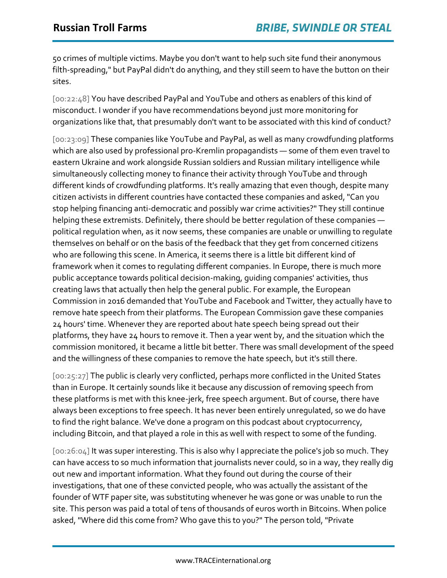50 crimes of multiple victims. Maybe you don't want to help such site fund their anonymous filth-spreading," but PayPal didn't do anything, and they still seem to have the button on their sites.

[00:22:48] You have described PayPal and YouTube and others as enablers of this kind of misconduct. I wonder if you have recommendations beyond just more monitoring for organizations like that, that presumably don't want to be associated with this kind of conduct?

[00:23:09] These companies like YouTube and PayPal, as well as many crowdfunding platforms which are also used by professional pro-Kremlin propagandists — some of them even travel to eastern Ukraine and work alongside Russian soldiers and Russian military intelligence while simultaneously collecting money to finance their activity through YouTube and through different kinds of crowdfunding platforms. It's really amazing that even though, despite many citizen activists in different countries have contacted these companies and asked, "Can you stop helping financing anti-democratic and possibly war crime activities?" They still continue helping these extremists. Definitely, there should be better regulation of these companies political regulation when, as it now seems, these companies are unable or unwilling to regulate themselves on behalf or on the basis of the feedback that they get from concerned citizens who are following this scene. In America, it seems there is a little bit different kind of framework when it comes to regulating different companies. In Europe, there is much more public acceptance towards political decision-making, guiding companies' activities, thus creating laws that actually then help the general public. For example, the European Commission in 2016 demanded that YouTube and Facebook and Twitter, they actually have to remove hate speech from their platforms. The European Commission gave these companies 24 hours' time. Whenever they are reported about hate speech being spread out their platforms, they have 24 hours to remove it. Then a year went by, and the situation which the commission monitored, it became a little bit better. There was small development of the speed and the willingness of these companies to remove the hate speech, but it's still there.

[00:25:27] The public is clearly very conflicted, perhaps more conflicted in the United States than in Europe. It certainly sounds like it because any discussion of removing speech from these platforms is met with this knee-jerk, free speech argument. But of course, there have always been exceptions to free speech. It has never been entirely unregulated, so we do have to find the right balance. We've done a program on this podcast about cryptocurrency, including Bitcoin, and that played a role in this as well with respect to some of the funding.

[00:26:04] It was super interesting. This is also why I appreciate the police's job so much. They can have access to so much information that journalists never could, so in a way, they really dig out new and important information. What they found out during the course of their investigations, that one of these convicted people, who was actually the assistant of the founder of WTF paper site, was substituting whenever he was gone or was unable to run the site. This person was paid a total of tens of thousands of euros worth in Bitcoins. When police asked, "Where did this come from? Who gave this to you?" The person told, "Private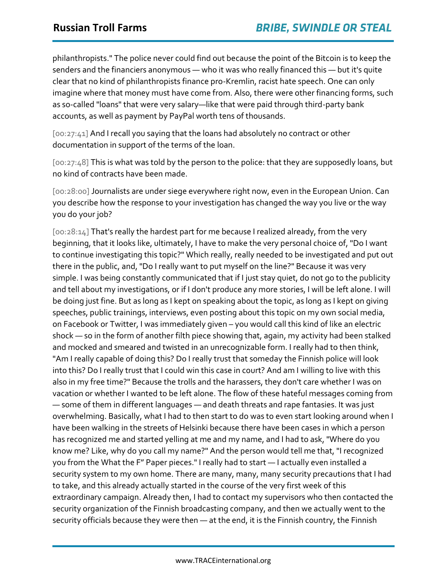philanthropists." The police never could find out because the point of the Bitcoin is to keep the senders and the financiers anonymous — who it was who really financed this — but it's quite clear that no kind of philanthropists finance pro-Kremlin, racist hate speech. One can only imagine where that money must have come from. Also, there were other financing forms, such as so-called "loans" that were very salary—like that were paid through third-party bank accounts, as well as payment by PayPal worth tens of thousands.

[00:27:41] And I recall you saying that the loans had absolutely no contract or other documentation in support of the terms of the loan.

[00:27:48] This is what was told by the person to the police: that they are supposedly loans, but no kind of contracts have been made.

[00:28:00] Journalists are under siege everywhere right now, even in the European Union. Can you describe how the response to your investigation has changed the way you live or the way you do your job?

[00:28:14] That's really the hardest part for me because I realized already, from the very beginning, that it looks like, ultimately, I have to make the very personal choice of, "Do I want to continue investigating this topic?" Which really, really needed to be investigated and put out there in the public, and, "Do I really want to put myself on the line?" Because it was very simple. I was being constantly communicated that if I just stay quiet, do not go to the publicity and tell about my investigations, or if I don't produce any more stories, I will be left alone. I will be doing just fine. But as long as I kept on speaking about the topic, as long as I kept on giving speeches, public trainings, interviews, even posting about this topic on my own social media, on Facebook or Twitter, I was immediately given – you would call this kind of like an electric shock — so in the form of another filth piece showing that, again, my activity had been stalked and mocked and smeared and twisted in an unrecognizable form. I really had to then think, "Am I really capable of doing this? Do I really trust that someday the Finnish police will look into this? Do I really trust that I could win this case in court? And am I willing to live with this also in my free time?" Because the trolls and the harassers, they don't care whether I was on vacation or whether I wanted to be left alone. The flow of these hateful messages coming from — some of them in different languages — and death threats and rape fantasies. It was just overwhelming. Basically, what I had to then start to do was to even start looking around when I have been walking in the streets of Helsinki because there have been cases in which a person has recognized me and started yelling at me and my name, and I had to ask, "Where do you know me? Like, why do you call my name?" And the person would tell me that, "I recognized you from the What the F" Paper pieces." I really had to start — I actually even installed a security system to my own home. There are many, many, many security precautions that I had to take, and this already actually started in the course of the very first week of this extraordinary campaign. Already then, I had to contact my supervisors who then contacted the security organization of the Finnish broadcasting company, and then we actually went to the security officials because they were then — at the end, it is the Finnish country, the Finnish